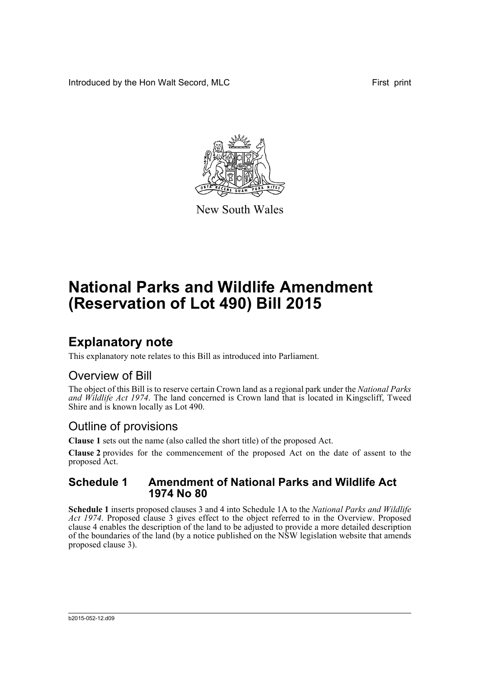Introduced by the Hon Walt Secord, MLC First print



New South Wales

# **National Parks and Wildlife Amendment (Reservation of Lot 490) Bill 2015**

## **Explanatory note**

This explanatory note relates to this Bill as introduced into Parliament.

### Overview of Bill

The object of this Bill is to reserve certain Crown land as a regional park under the *National Parks and Wildlife Act 1974*. The land concerned is Crown land that is located in Kingscliff, Tweed Shire and is known locally as Lot 490.

### Outline of provisions

**Clause 1** sets out the name (also called the short title) of the proposed Act.

**Clause 2** provides for the commencement of the proposed Act on the date of assent to the proposed Act.

#### **Schedule 1 Amendment of National Parks and Wildlife Act 1974 No 80**

**Schedule 1** inserts proposed clauses 3 and 4 into Schedule 1A to the *National Parks and Wildlife Act 1974*. Proposed clause 3 gives effect to the object referred to in the Overview. Proposed clause 4 enables the description of the land to be adjusted to provide a more detailed description of the boundaries of the land (by a notice published on the NSW legislation website that amends proposed clause 3).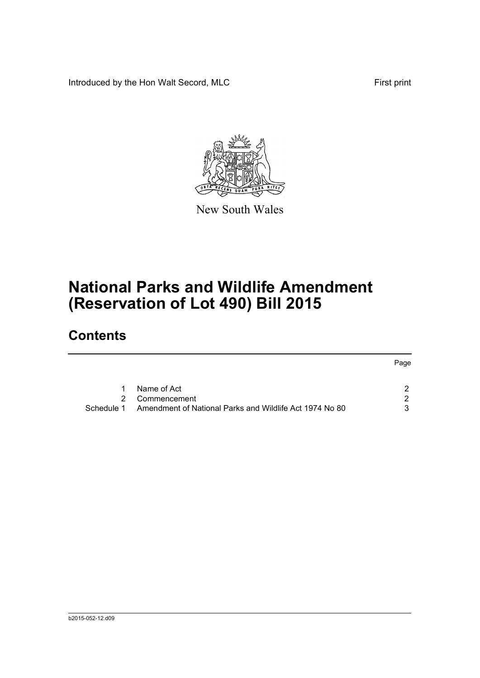Introduced by the Hon Walt Secord, MLC First print



New South Wales

# **National Parks and Wildlife Amendment (Reservation of Lot 490) Bill 2015**

## **Contents**

| 1.         | Name of Act                                             |  |  |
|------------|---------------------------------------------------------|--|--|
|            | 2 Commencement                                          |  |  |
| Schedule 1 | Amendment of National Parks and Wildlife Act 1974 No 80 |  |  |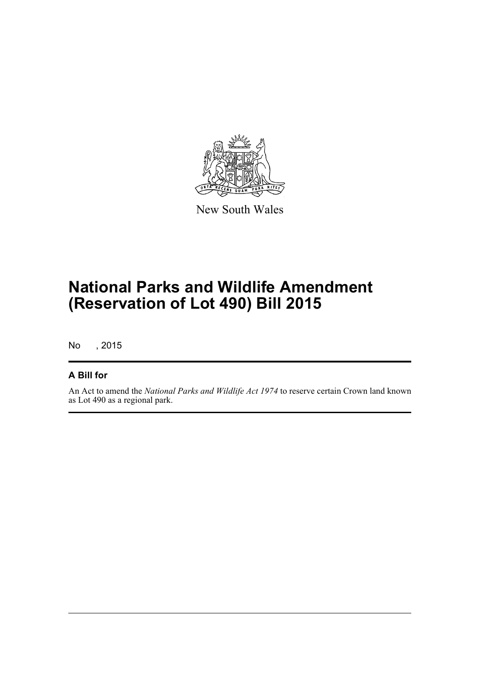

New South Wales

# **National Parks and Wildlife Amendment (Reservation of Lot 490) Bill 2015**

No , 2015

#### **A Bill for**

An Act to amend the *National Parks and Wildlife Act 1974* to reserve certain Crown land known as Lot 490 as a regional park.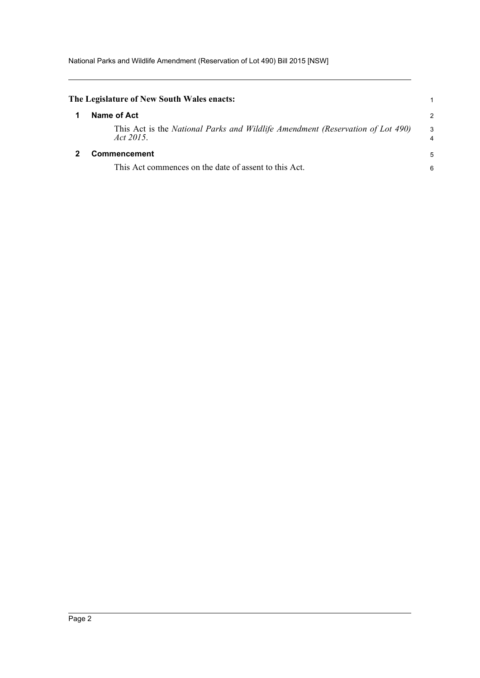<span id="page-3-1"></span><span id="page-3-0"></span>

| The Legislature of New South Wales enacts:                                                  |                     |
|---------------------------------------------------------------------------------------------|---------------------|
| Name of Act                                                                                 | 2                   |
| This Act is the National Parks and Wildlife Amendment (Reservation of Lot 490)<br>Act 2015. | 3<br>$\overline{4}$ |
| <b>Commencement</b><br>This Act commences on the date of assent to this Act.                | 5<br>6              |
|                                                                                             |                     |